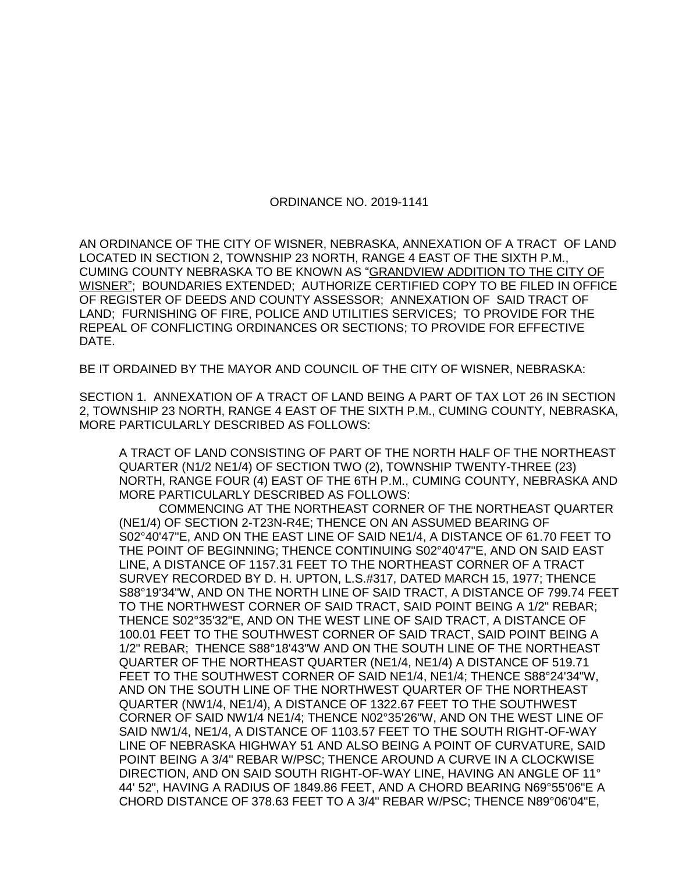## ORDINANCE NO. 2019-1141

AN ORDINANCE OF THE CITY OF WISNER, NEBRASKA, ANNEXATION OF A TRACT OF LAND LOCATED IN SECTION 2, TOWNSHIP 23 NORTH, RANGE 4 EAST OF THE SIXTH P.M., CUMING COUNTY NEBRASKA TO BE KNOWN AS "GRANDVIEW ADDITION TO THE CITY OF WISNER"; BOUNDARIES EXTENDED; AUTHORIZE CERTIFIED COPY TO BE FILED IN OFFICE OF REGISTER OF DEEDS AND COUNTY ASSESSOR; ANNEXATION OF SAID TRACT OF LAND; FURNISHING OF FIRE, POLICE AND UTILITIES SERVICES; TO PROVIDE FOR THE REPEAL OF CONFLICTING ORDINANCES OR SECTIONS; TO PROVIDE FOR EFFECTIVE DATE.

BE IT ORDAINED BY THE MAYOR AND COUNCIL OF THE CITY OF WISNER, NEBRASKA:

SECTION 1. ANNEXATION OF A TRACT OF LAND BEING A PART OF TAX LOT 26 IN SECTION 2, TOWNSHIP 23 NORTH, RANGE 4 EAST OF THE SIXTH P.M., CUMING COUNTY, NEBRASKA, MORE PARTICULARLY DESCRIBED AS FOLLOWS:

A TRACT OF LAND CONSISTING OF PART OF THE NORTH HALF OF THE NORTHEAST QUARTER (N1/2 NE1/4) OF SECTION TWO (2), TOWNSHIP TWENTY-THREE (23) NORTH, RANGE FOUR (4) EAST OF THE 6TH P.M., CUMING COUNTY, NEBRASKA AND MORE PARTICULARLY DESCRIBED AS FOLLOWS:

COMMENCING AT THE NORTHEAST CORNER OF THE NORTHEAST QUARTER (NE1/4) OF SECTION 2-T23N-R4E; THENCE ON AN ASSUMED BEARING OF S02°40'47"E, AND ON THE EAST LINE OF SAID NE1/4, A DISTANCE OF 61.70 FEET TO THE POINT OF BEGINNING; THENCE CONTINUING S02°40'47"E, AND ON SAID EAST LINE, A DISTANCE OF 1157.31 FEET TO THE NORTHEAST CORNER OF A TRACT SURVEY RECORDED BY D. H. UPTON, L.S.#317, DATED MARCH 15, 1977; THENCE S88°19'34"W, AND ON THE NORTH LINE OF SAID TRACT, A DISTANCE OF 799.74 FEET TO THE NORTHWEST CORNER OF SAID TRACT, SAID POINT BEING A 1/2" REBAR; THENCE S02°35'32"E, AND ON THE WEST LINE OF SAID TRACT, A DISTANCE OF 100.01 FEET TO THE SOUTHWEST CORNER OF SAID TRACT, SAID POINT BEING A 1/2" REBAR; THENCE S88°18'43"W AND ON THE SOUTH LINE OF THE NORTHEAST QUARTER OF THE NORTHEAST QUARTER (NE1/4, NE1/4) A DISTANCE OF 519.71 FEET TO THE SOUTHWEST CORNER OF SAID NE1/4, NE1/4; THENCE S88°24'34"W, AND ON THE SOUTH LINE OF THE NORTHWEST QUARTER OF THE NORTHEAST QUARTER (NW1/4, NE1/4), A DISTANCE OF 1322.67 FEET TO THE SOUTHWEST CORNER OF SAID NW1/4 NE1/4; THENCE N02°35'26"W, AND ON THE WEST LINE OF SAID NW1/4, NE1/4, A DISTANCE OF 1103.57 FEET TO THE SOUTH RIGHT-OF-WAY LINE OF NEBRASKA HIGHWAY 51 AND ALSO BEING A POINT OF CURVATURE, SAID POINT BEING A 3/4" REBAR W/PSC; THENCE AROUND A CURVE IN A CLOCKWISE DIRECTION, AND ON SAID SOUTH RIGHT-OF-WAY LINE, HAVING AN ANGLE OF 11° 44' 52", HAVING A RADIUS OF 1849.86 FEET, AND A CHORD BEARING N69°55'06"E A CHORD DISTANCE OF 378.63 FEET TO A 3/4" REBAR W/PSC; THENCE N89°06'04"E,